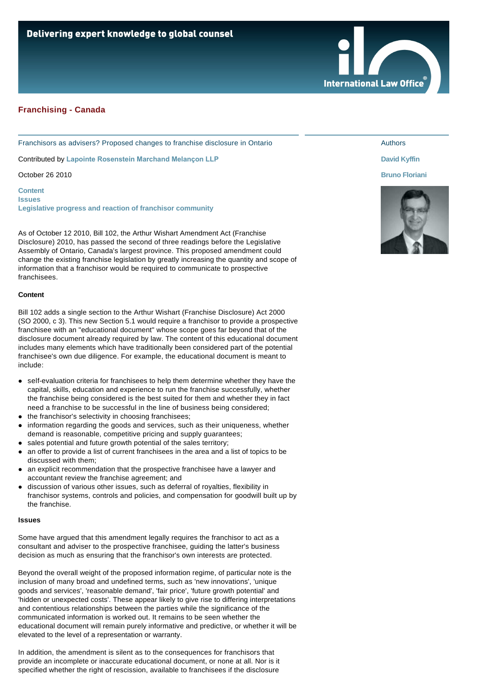

Franchisors as advisers? Proposed changes to franchise disclosure in Ontario

Contributed by **[Lapointe Rosenstein Marchand Melançon LLP](http://www.internationallawoffice.com/gesr.ashx?l=7ENHQ2X)**

October 26 2010

**[Content](#page-0-0) [Issues](#page-0-1) [Legislative progress and reaction of franchisor community](#page-1-0)**

As of October 12 2010, Bill 102, the Arthur Wishart Amendment Act (Franchise Disclosure) 2010, has passed the second of three readings before the Legislative Assembly of Ontario, Canada's largest province. This proposed amendment could change the existing franchise legislation by greatly increasing the quantity and scope of information that a franchisor would be required to communicate to prospective franchisees.

#### <span id="page-0-0"></span>**Content**

Bill 102 adds a single section to the Arthur Wishart (Franchise Disclosure) Act 2000 (SO 2000, c 3). This new Section 5.1 would require a franchisor to provide a prospective franchisee with an "educational document" whose scope goes far beyond that of the disclosure document already required by law. The content of this educational document includes many elements which have traditionally been considered part of the potential franchisee's own due diligence. For example, the educational document is meant to include:

- self-evaluation criteria for franchisees to help them determine whether they have the capital, skills, education and experience to run the franchise successfully, whether the franchise being considered is the best suited for them and whether they in fact need a franchise to be successful in the line of business being considered;
- the franchisor's selectivity in choosing franchisees;
- information regarding the goods and services, such as their uniqueness, whether demand is reasonable, competitive pricing and supply guarantees;
- sales potential and future growth potential of the sales territory;
- an offer to provide a list of current franchisees in the area and a list of topics to be discussed with them;
- an explicit recommendation that the prospective franchisee have a lawyer and accountant review the franchise agreement; and
- discussion of various other issues, such as deferral of royalties, flexibility in franchisor systems, controls and policies, and compensation for goodwill built up by the franchise.

#### <span id="page-0-1"></span>**Issues**

Some have argued that this amendment legally requires the franchisor to act as a consultant and adviser to the prospective franchisee, guiding the latter's business decision as much as ensuring that the franchisor's own interests are protected.

Beyond the overall weight of the proposed information regime, of particular note is the inclusion of many broad and undefined terms, such as 'new innovations', 'unique goods and services', 'reasonable demand', 'fair price', 'future growth potential' and 'hidden or unexpected costs'. These appear likely to give rise to differing interpretations and contentious relationships between the parties while the significance of the communicated information is worked out. It remains to be seen whether the educational document will remain purely informative and predictive, or whether it will be elevated to the level of a representation or warranty.

In addition, the amendment is silent as to the consequences for franchisors that provide an incomplete or inaccurate educational document, or none at all. Nor is it specified whether the right of rescission, available to franchisees if the disclosure

#### Authors

**International Law Office** 

# **[David Kyffin](http://www.internationallawoffice.com/gesr.ashx?l=7ENHQ6F)**

# **[Bruno Floriani](http://www.internationallawoffice.com/gesr.ashx?l=7ENHQ3J)**